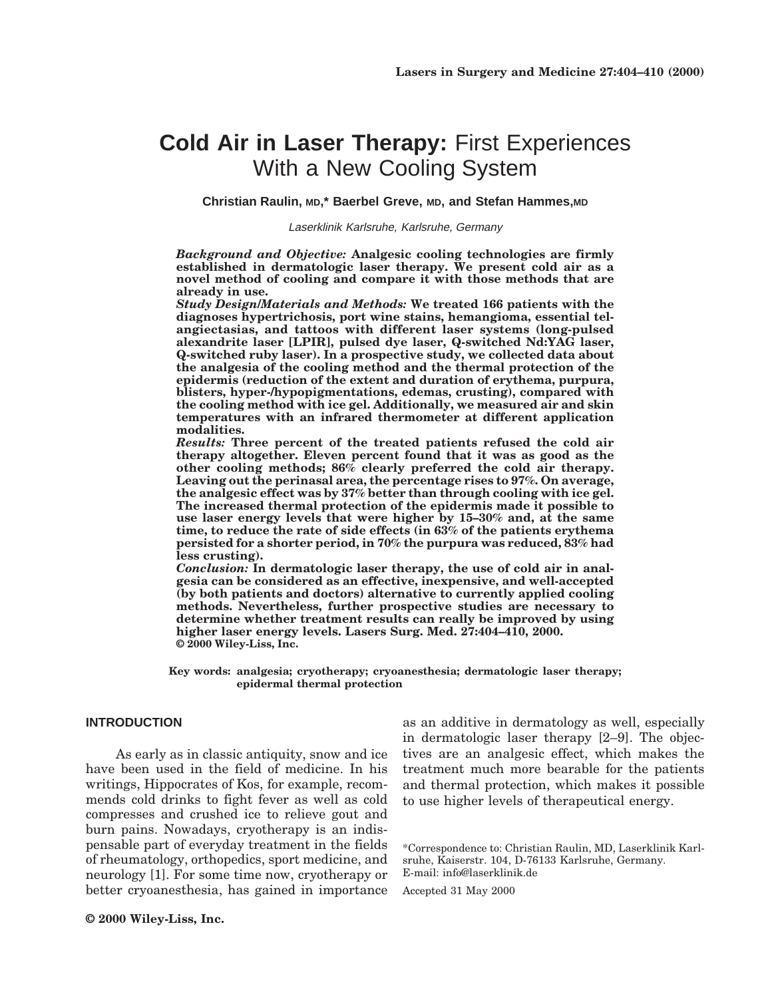# **Cold Air in Laser Therapy:** First Experiences With a New Cooling System

**Christian Raulin, MD,\* Baerbel Greve, MD, and Stefan Hammes,MD**

Laserklinik Karlsruhe, Karlsruhe, Germany

*Background and Objective:* **Analgesic cooling technologies are firmly established in dermatologic laser therapy. We present cold air as a novel method of cooling and compare it with those methods that are already in use.**

*Study Design/Materials and Methods:* **We treated 166 patients with the diagnoses hypertrichosis, port wine stains, hemangioma, essential telangiectasias, and tattoos with different laser systems (long-pulsed alexandrite laser [LPIR], pulsed dye laser, Q-switched Nd:YAG laser, Q-switched ruby laser). In a prospective study, we collected data about the analgesia of the cooling method and the thermal protection of the epidermis (reduction of the extent and duration of erythema, purpura, blisters, hyper-/hypopigmentations, edemas, crusting), compared with the cooling method with ice gel. Additionally, we measured air and skin temperatures with an infrared thermometer at different application modalities.**

*Results:* **Three percent of the treated patients refused the cold air therapy altogether. Eleven percent found that it was as good as the other cooling methods; 86% clearly preferred the cold air therapy. Leaving out the perinasal area, the percentage rises to 97%. On average, the analgesic effect was by 37% better than through cooling with ice gel. The increased thermal protection of the epidermis made it possible to use laser energy levels that were higher by 15–30% and, at the same time, to reduce the rate of side effects (in 63% of the patients erythema persisted for a shorter period, in 70% the purpura was reduced, 83% had less crusting).**

*Conclusion:* **In dermatologic laser therapy, the use of cold air in analgesia can be considered as an effective, inexpensive, and well-accepted (by both patients and doctors) alternative to currently applied cooling methods. Nevertheless, further prospective studies are necessary to determine whether treatment results can really be improved by using higher laser energy levels. Lasers Surg. Med. 27:404–410, 2000. © 2000 Wiley-Liss, Inc.**

**Key words: analgesia; cryotherapy; cryoanesthesia; dermatologic laser therapy; epidermal thermal protection**

# **INTRODUCTION**

As early as in classic antiquity, snow and ice have been used in the field of medicine. In his writings, Hippocrates of Kos, for example, recommends cold drinks to fight fever as well as cold compresses and crushed ice to relieve gout and burn pains. Nowadays, cryotherapy is an indispensable part of everyday treatment in the fields of rheumatology, orthopedics, sport medicine, and neurology [1]. For some time now, cryotherapy or better cryoanesthesia, has gained in importance as an additive in dermatology as well, especially in dermatologic laser therapy [2–9]. The objectives are an analgesic effect, which makes the treatment much more bearable for the patients and thermal protection, which makes it possible to use higher levels of therapeutical energy.

\*Correspondence to: Christian Raulin, MD, Laserklinik Karlsruhe, Kaiserstr. 104, D-76133 Karlsruhe, Germany. E-mail: info@laserklinik.de

Accepted 31 May 2000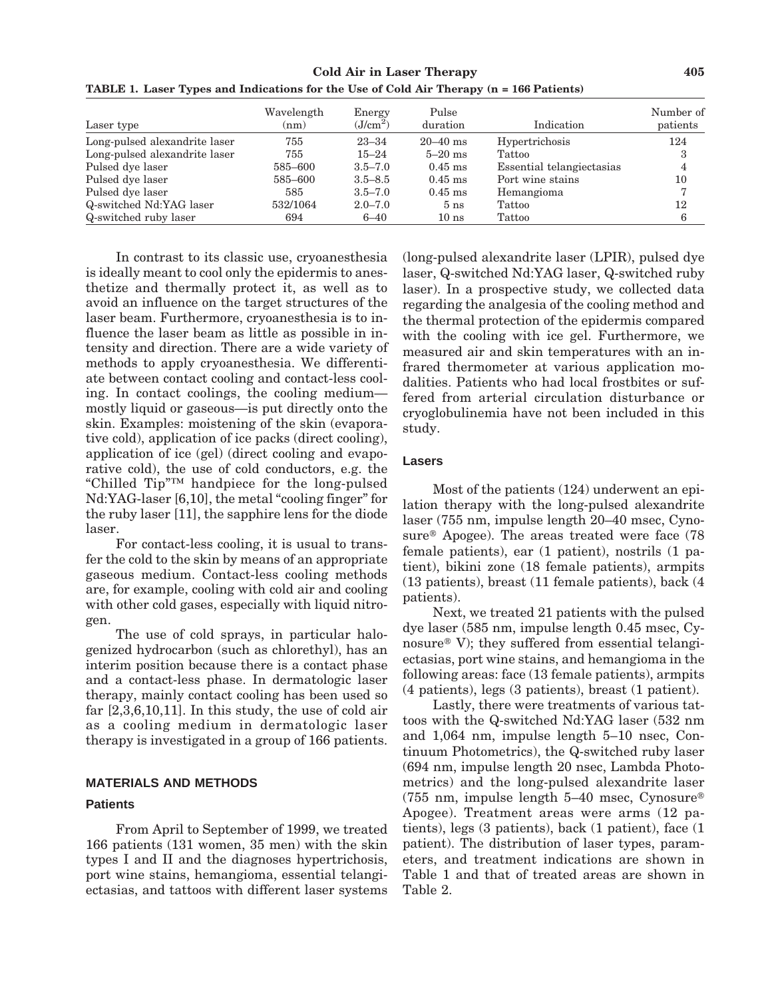**TABLE 1. Laser Types and Indications for the Use of Cold Air Therapy (n = 166 Patients) Cold Air in Laser Therapy 405**

| Laser type                    | Wavelength<br>(nm) | Energy<br>$(J/cm^2)$ | Pulse<br>duration | Indication                | Number of<br>patients |
|-------------------------------|--------------------|----------------------|-------------------|---------------------------|-----------------------|
| Long-pulsed alexandrite laser | 755                | $23 - 34$            | $20 - 40$ ms      | Hypertrichosis            | 124                   |
| Long-pulsed alexandrite laser | 755                | $15 - 24$            | $5 - 20$ ms       | Tattoo                    | 3                     |
| Pulsed dye laser              | 585-600            | $3.5 - 7.0$          | $0.45$ ms         | Essential telangiectasias | 4                     |
| Pulsed dye laser              | 585-600            | $3.5 - 8.5$          | $0.45$ ms         | Port wine stains          | 10                    |
| Pulsed dye laser              | 585                | $3.5 - 7.0$          | $0.45$ ms         | Hemangioma                |                       |
| Q-switched Nd:YAG laser       | 532/1064           | $2.0 - 7.0$          | 5 <sub>ns</sub>   | Tattoo                    | 12                    |
| Q-switched ruby laser         | 694                | $6 - 40$             | 10 <sub>ns</sub>  | Tattoo                    | 6                     |

In contrast to its classic use, cryoanesthesia is ideally meant to cool only the epidermis to anesthetize and thermally protect it, as well as to avoid an influence on the target structures of the laser beam. Furthermore, cryoanesthesia is to influence the laser beam as little as possible in intensity and direction. There are a wide variety of methods to apply cryoanesthesia. We differentiate between contact cooling and contact-less cooling. In contact coolings, the cooling medium mostly liquid or gaseous—is put directly onto the skin. Examples: moistening of the skin (evaporative cold), application of ice packs (direct cooling), application of ice (gel) (direct cooling and evaporative cold), the use of cold conductors, e.g. the "Chilled Tip"™ handpiece for the long-pulsed Nd:YAG-laser [6,10], the metal "cooling finger" for the ruby laser [11], the sapphire lens for the diode laser.

For contact-less cooling, it is usual to transfer the cold to the skin by means of an appropriate gaseous medium. Contact-less cooling methods are, for example, cooling with cold air and cooling with other cold gases, especially with liquid nitrogen.

The use of cold sprays, in particular halogenized hydrocarbon (such as chlorethyl), has an interim position because there is a contact phase and a contact-less phase. In dermatologic laser therapy, mainly contact cooling has been used so far  $[2,3,6,10,11]$ . In this study, the use of cold air as a cooling medium in dermatologic laser therapy is investigated in a group of 166 patients.

# **MATERIALS AND METHODS**

#### **Patients**

From April to September of 1999, we treated 166 patients (131 women, 35 men) with the skin types I and II and the diagnoses hypertrichosis, port wine stains, hemangioma, essential telangiectasias, and tattoos with different laser systems (long-pulsed alexandrite laser (LPIR), pulsed dye laser, Q-switched Nd:YAG laser, Q-switched ruby laser). In a prospective study, we collected data regarding the analgesia of the cooling method and the thermal protection of the epidermis compared with the cooling with ice gel. Furthermore, we measured air and skin temperatures with an infrared thermometer at various application modalities. Patients who had local frostbites or suffered from arterial circulation disturbance or cryoglobulinemia have not been included in this study.

# **Lasers**

Most of the patients (124) underwent an epilation therapy with the long-pulsed alexandrite laser (755 nm, impulse length 20–40 msec, Cynosure $@$  Apogee). The areas treated were face (78 female patients), ear (1 patient), nostrils (1 patient), bikini zone (18 female patients), armpits (13 patients), breast (11 female patients), back (4 patients).

Next, we treated 21 patients with the pulsed dye laser (585 nm, impulse length 0.45 msec, Cynosure<sup>®</sup> V); they suffered from essential telangiectasias, port wine stains, and hemangioma in the following areas: face (13 female patients), armpits (4 patients), legs (3 patients), breast (1 patient).

Lastly, there were treatments of various tattoos with the Q-switched Nd:YAG laser (532 nm and 1,064 nm, impulse length 5–10 nsec, Continuum Photometrics), the Q-switched ruby laser (694 nm, impulse length 20 nsec, Lambda Photometrics) and the long-pulsed alexandrite laser (755 nm, impulse length 5–40 msec, Cynosure<sup>®</sup> Apogee). Treatment areas were arms (12 patients), legs (3 patients), back (1 patient), face (1 patient). The distribution of laser types, parameters, and treatment indications are shown in Table 1 and that of treated areas are shown in Table 2.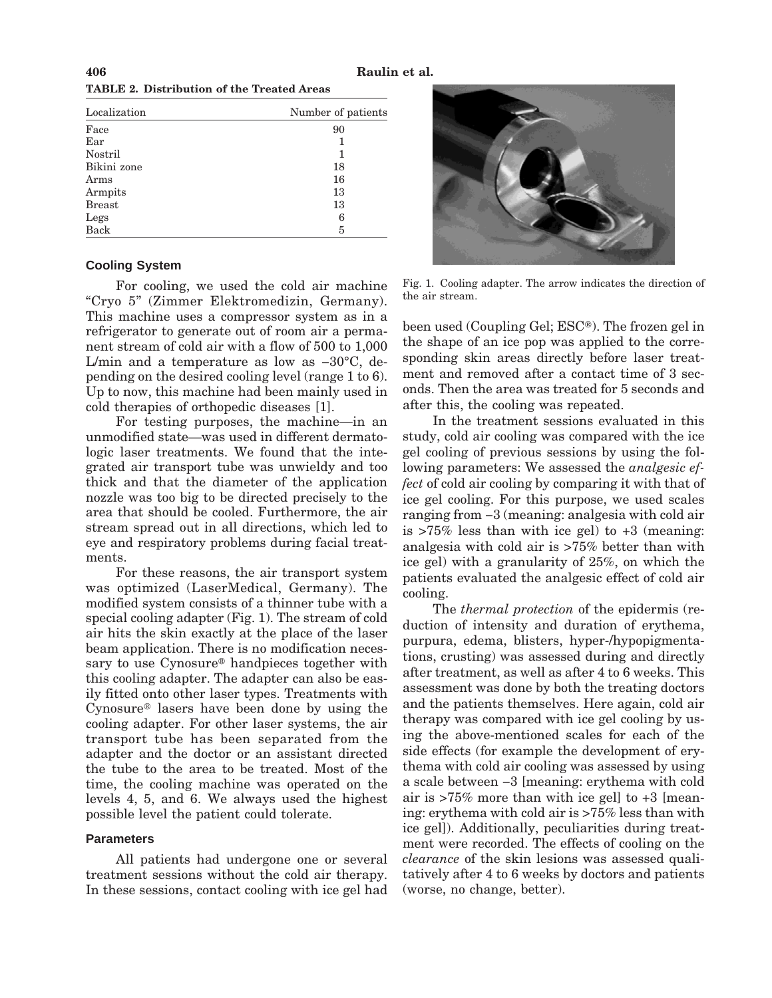**TABLE 2. Distribution of the Treated Areas 406 Raulin et al.**

| Localization  | Number of patients |  |
|---------------|--------------------|--|
| Face          | 90                 |  |
| Ear           |                    |  |
| Nostril       |                    |  |
| Bikini zone   | 18                 |  |
| Arms          | 16                 |  |
| Armpits       | 13                 |  |
| <b>Breast</b> | 13                 |  |
| Legs          | 6                  |  |
| Back          | 5                  |  |

### **Cooling System**

For cooling, we used the cold air machine "Cryo 5" (Zimmer Elektromedizin, Germany). This machine uses a compressor system as in a refrigerator to generate out of room air a permanent stream of cold air with a flow of 500 to 1,000 L/min and a temperature as low as −30°C, depending on the desired cooling level (range 1 to 6). Up to now, this machine had been mainly used in cold therapies of orthopedic diseases [1].

For testing purposes, the machine—in an unmodified state—was used in different dermatologic laser treatments. We found that the integrated air transport tube was unwieldy and too thick and that the diameter of the application nozzle was too big to be directed precisely to the area that should be cooled. Furthermore, the air stream spread out in all directions, which led to eye and respiratory problems during facial treatments.

For these reasons, the air transport system was optimized (LaserMedical, Germany). The modified system consists of a thinner tube with a special cooling adapter (Fig. 1). The stream of cold air hits the skin exactly at the place of the laser beam application. There is no modification necessary to use  $Cynasure^{\circledast}$  handpieces together with this cooling adapter. The adapter can also be easily fitted onto other laser types. Treatments with Cynosure<sup>®</sup> lasers have been done by using the cooling adapter. For other laser systems, the air transport tube has been separated from the adapter and the doctor or an assistant directed the tube to the area to be treated. Most of the time, the cooling machine was operated on the levels 4, 5, and 6. We always used the highest possible level the patient could tolerate.

# **Parameters**

All patients had undergone one or several treatment sessions without the cold air therapy. In these sessions, contact cooling with ice gel had



Fig. 1. Cooling adapter. The arrow indicates the direction of the air stream.

been used (Coupling Gel;  $\text{ESC}^{\circledast}$ ). The frozen gel in the shape of an ice pop was applied to the corresponding skin areas directly before laser treatment and removed after a contact time of 3 seconds. Then the area was treated for 5 seconds and after this, the cooling was repeated.

In the treatment sessions evaluated in this study, cold air cooling was compared with the ice gel cooling of previous sessions by using the following parameters: We assessed the *analgesic effect* of cold air cooling by comparing it with that of ice gel cooling. For this purpose, we used scales ranging from −3 (meaning: analgesia with cold air is  $>75\%$  less than with ice gel) to  $+3$  (meaning: analgesia with cold air is >75% better than with ice gel) with a granularity of 25%, on which the patients evaluated the analgesic effect of cold air cooling.

The *thermal protection* of the epidermis (reduction of intensity and duration of erythema, purpura, edema, blisters, hyper-/hypopigmentations, crusting) was assessed during and directly after treatment, as well as after 4 to 6 weeks. This assessment was done by both the treating doctors and the patients themselves. Here again, cold air therapy was compared with ice gel cooling by using the above-mentioned scales for each of the side effects (for example the development of erythema with cold air cooling was assessed by using a scale between −3 [meaning: erythema with cold air is >75% more than with ice gel] to +3 [meaning: erythema with cold air is >75% less than with ice gel]). Additionally, peculiarities during treatment were recorded. The effects of cooling on the *clearance* of the skin lesions was assessed qualitatively after 4 to 6 weeks by doctors and patients (worse, no change, better).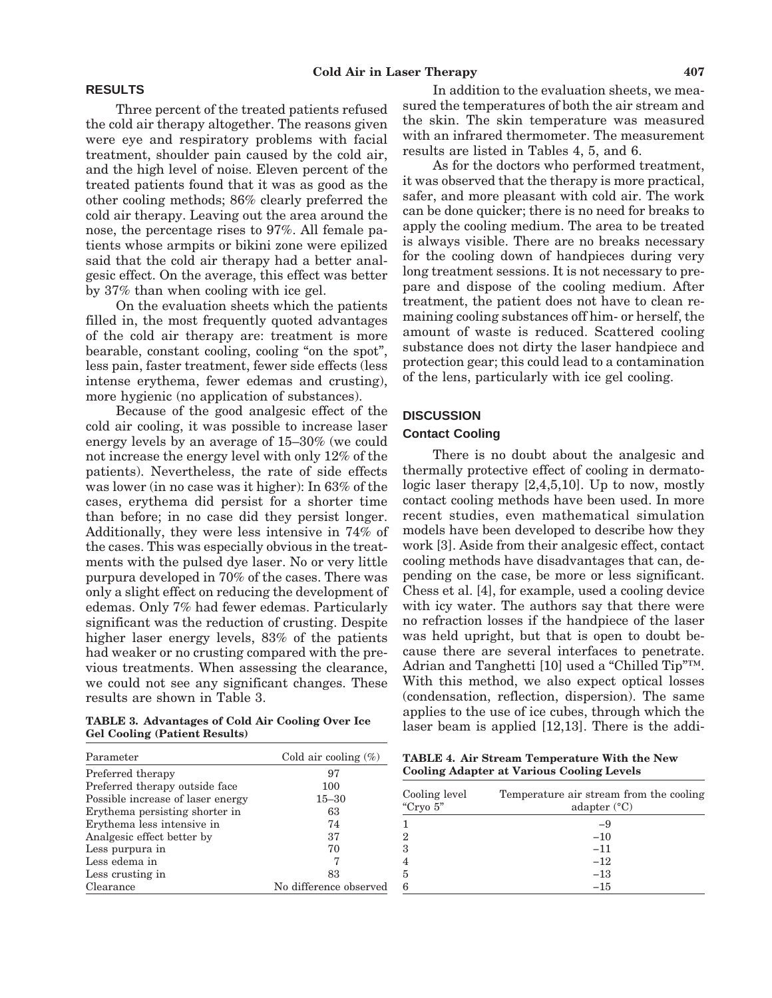# **RESULTS**

Three percent of the treated patients refused the cold air therapy altogether. The reasons given were eye and respiratory problems with facial treatment, shoulder pain caused by the cold air, and the high level of noise. Eleven percent of the treated patients found that it was as good as the other cooling methods; 86% clearly preferred the cold air therapy. Leaving out the area around the nose, the percentage rises to 97%. All female patients whose armpits or bikini zone were epilized said that the cold air therapy had a better analgesic effect. On the average, this effect was better by 37% than when cooling with ice gel.

On the evaluation sheets which the patients filled in, the most frequently quoted advantages of the cold air therapy are: treatment is more bearable, constant cooling, cooling "on the spot", less pain, faster treatment, fewer side effects (less intense erythema, fewer edemas and crusting), more hygienic (no application of substances).

Because of the good analgesic effect of the cold air cooling, it was possible to increase laser energy levels by an average of 15–30% (we could not increase the energy level with only 12% of the patients). Nevertheless, the rate of side effects was lower (in no case was it higher): In 63% of the cases, erythema did persist for a shorter time than before; in no case did they persist longer. Additionally, they were less intensive in 74% of the cases. This was especially obvious in the treatments with the pulsed dye laser. No or very little purpura developed in 70% of the cases. There was only a slight effect on reducing the development of edemas. Only 7% had fewer edemas. Particularly significant was the reduction of crusting. Despite higher laser energy levels, 83% of the patients had weaker or no crusting compared with the previous treatments. When assessing the clearance, we could not see any significant changes. These results are shown in Table 3.

**Gel Cooling (Patient Results)**

| Parameter                         | Cold air cooling $(\%)$ |
|-----------------------------------|-------------------------|
| Preferred therapy                 | 97                      |
| Preferred therapy outside face    | 100                     |
| Possible increase of laser energy | $15 - 30$               |
| Erythema persisting shorter in    | 63                      |
| Erythema less intensive in        | 74                      |
| Analgesic effect better by        | 37                      |
| Less purpura in                   | 70                      |
| Less edema in                     | 7                       |
| Less crusting in                  | 83                      |
| Clearance                         | No difference observed  |

In addition to the evaluation sheets, we measured the temperatures of both the air stream and the skin. The skin temperature was measured with an infrared thermometer. The measurement results are listed in Tables 4, 5, and 6.

As for the doctors who performed treatment, it was observed that the therapy is more practical, safer, and more pleasant with cold air. The work can be done quicker; there is no need for breaks to apply the cooling medium. The area to be treated is always visible. There are no breaks necessary for the cooling down of handpieces during very long treatment sessions. It is not necessary to prepare and dispose of the cooling medium. After treatment, the patient does not have to clean remaining cooling substances off him- or herself, the amount of waste is reduced. Scattered cooling substance does not dirty the laser handpiece and protection gear; this could lead to a contamination of the lens, particularly with ice gel cooling.

# **DISCUSSION**

# **Contact Cooling**

There is no doubt about the analgesic and thermally protective effect of cooling in dermatologic laser therapy [2,4,5,10]. Up to now, mostly contact cooling methods have been used. In more recent studies, even mathematical simulation models have been developed to describe how they work [3]. Aside from their analgesic effect, contact cooling methods have disadvantages that can, depending on the case, be more or less significant. Chess et al. [4], for example, used a cooling device with icy water. The authors say that there were no refraction losses if the handpiece of the laser was held upright, but that is open to doubt because there are several interfaces to penetrate. Adrian and Tanghetti [10] used a "Chilled Tip"™. With this method, we also expect optical losses (condensation, reflection, dispersion). The same applies to the use of ice cubes, through which the laser beam is applied [12,13]. There is the addi- **TABLE 3. Advantages of Cold Air Cooling Over Ice**

| TABLE 4. Air Stream Temperature With the New |  |  |  |
|----------------------------------------------|--|--|--|
| Cooling Adapter at Various Cooling Levels    |  |  |  |

| Cooling level<br>"Cryo 5" | Temperature air stream from the cooling<br>adapter $({}^{\circ}C)$ |  |  |
|---------------------------|--------------------------------------------------------------------|--|--|
|                           | -9                                                                 |  |  |
| $\overline{2}$            | $-10$                                                              |  |  |
| 3                         | $-11$                                                              |  |  |
| $\overline{4}$            | $-12$                                                              |  |  |
| $\overline{5}$            | $-13$                                                              |  |  |
| 6                         | $-15$                                                              |  |  |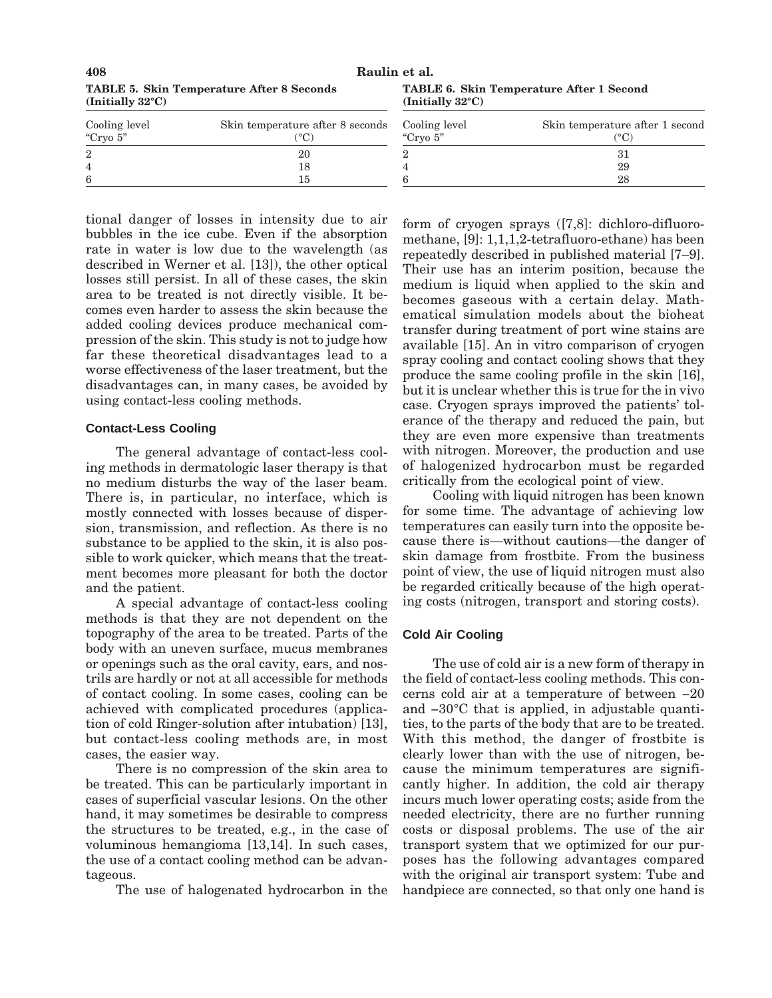**TABLE 5. Skin Temperature After 8 Seconds (Initially 32°C)**

|                            | <b>TABLE 6. Skin Temperature After 1 Second</b> |
|----------------------------|-------------------------------------------------|
| (Initially $32^{\circ}$ C) |                                                 |

| Cooling level<br>"Cryo 5" | Skin temperature after 8 seconds<br>(°C) |
|---------------------------|------------------------------------------|
|                           | 20                                       |
|                           | 18                                       |
|                           | 15                                       |

| Cooling level<br>"Cryo 5" | Skin temperature after 1 second<br>′°െ |  |
|---------------------------|----------------------------------------|--|
| $\mathcal{D}$             | 31                                     |  |
| $\overline{4}$            | 29                                     |  |
| 6                         | 28                                     |  |

tional danger of losses in intensity due to air bubbles in the ice cube. Even if the absorption rate in water is low due to the wavelength (as described in Werner et al. [13]), the other optical losses still persist. In all of these cases, the skin area to be treated is not directly visible. It becomes even harder to assess the skin because the added cooling devices produce mechanical compression of the skin. This study is not to judge how far these theoretical disadvantages lead to a worse effectiveness of the laser treatment, but the disadvantages can, in many cases, be avoided by using contact-less cooling methods.

### **Contact-Less Cooling**

The general advantage of contact-less cooling methods in dermatologic laser therapy is that no medium disturbs the way of the laser beam. There is, in particular, no interface, which is mostly connected with losses because of dispersion, transmission, and reflection. As there is no substance to be applied to the skin, it is also possible to work quicker, which means that the treatment becomes more pleasant for both the doctor and the patient.

A special advantage of contact-less cooling methods is that they are not dependent on the topography of the area to be treated. Parts of the body with an uneven surface, mucus membranes or openings such as the oral cavity, ears, and nostrils are hardly or not at all accessible for methods of contact cooling. In some cases, cooling can be achieved with complicated procedures (application of cold Ringer-solution after intubation) [13], but contact-less cooling methods are, in most cases, the easier way.

There is no compression of the skin area to be treated. This can be particularly important in cases of superficial vascular lesions. On the other hand, it may sometimes be desirable to compress the structures to be treated, e.g., in the case of voluminous hemangioma [13,14]. In such cases, the use of a contact cooling method can be advantageous.

The use of halogenated hydrocarbon in the

form of cryogen sprays ([7,8]: dichloro-difluoromethane, [9]: 1,1,1,2-tetrafluoro-ethane) has been repeatedly described in published material [7–9]. Their use has an interim position, because the medium is liquid when applied to the skin and becomes gaseous with a certain delay. Mathematical simulation models about the bioheat transfer during treatment of port wine stains are available [15]. An in vitro comparison of cryogen spray cooling and contact cooling shows that they produce the same cooling profile in the skin [16], but it is unclear whether this is true for the in vivo case. Cryogen sprays improved the patients' tolerance of the therapy and reduced the pain, but they are even more expensive than treatments with nitrogen. Moreover, the production and use of halogenized hydrocarbon must be regarded critically from the ecological point of view.

Cooling with liquid nitrogen has been known for some time. The advantage of achieving low temperatures can easily turn into the opposite because there is—without cautions—the danger of skin damage from frostbite. From the business point of view, the use of liquid nitrogen must also be regarded critically because of the high operating costs (nitrogen, transport and storing costs).

### **Cold Air Cooling**

The use of cold air is a new form of therapy in the field of contact-less cooling methods. This concerns cold air at a temperature of between −20 and −30°C that is applied, in adjustable quantities, to the parts of the body that are to be treated. With this method, the danger of frostbite is clearly lower than with the use of nitrogen, because the minimum temperatures are significantly higher. In addition, the cold air therapy incurs much lower operating costs; aside from the needed electricity, there are no further running costs or disposal problems. The use of the air transport system that we optimized for our purposes has the following advantages compared with the original air transport system: Tube and handpiece are connected, so that only one hand is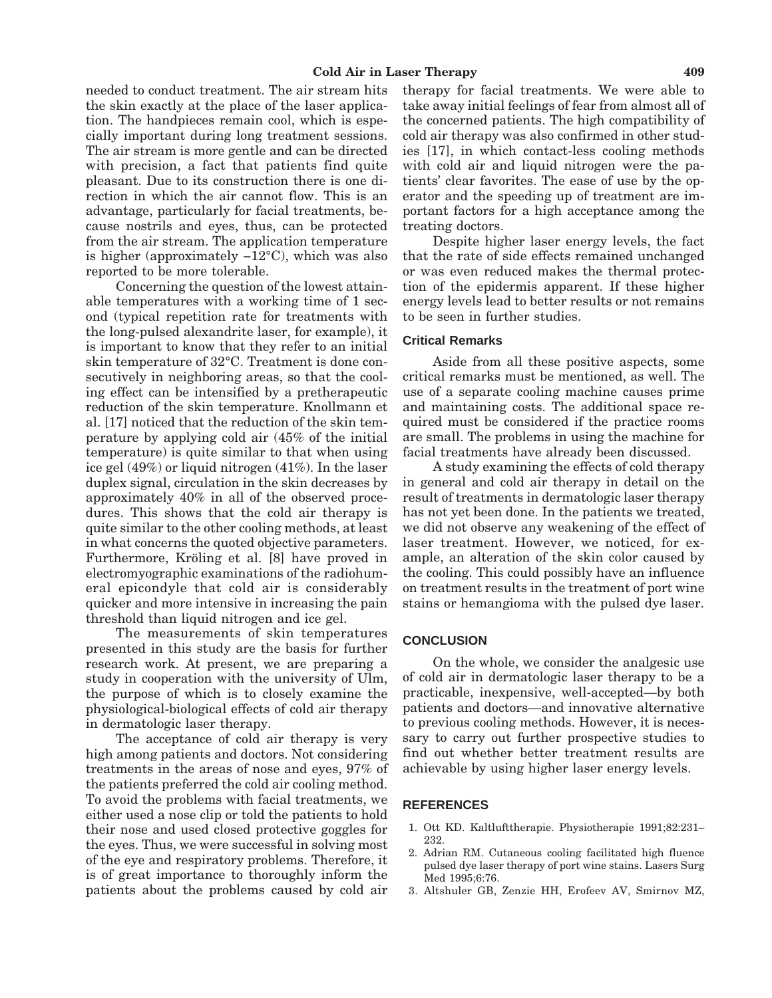needed to conduct treatment. The air stream hits the skin exactly at the place of the laser application. The handpieces remain cool, which is especially important during long treatment sessions. The air stream is more gentle and can be directed with precision, a fact that patients find quite pleasant. Due to its construction there is one direction in which the air cannot flow. This is an advantage, particularly for facial treatments, because nostrils and eyes, thus, can be protected from the air stream. The application temperature is higher (approximately −12°C), which was also reported to be more tolerable.

Concerning the question of the lowest attainable temperatures with a working time of 1 second (typical repetition rate for treatments with the long-pulsed alexandrite laser, for example), it is important to know that they refer to an initial skin temperature of 32°C. Treatment is done consecutively in neighboring areas, so that the cooling effect can be intensified by a pretherapeutic reduction of the skin temperature. Knollmann et al. [17] noticed that the reduction of the skin temperature by applying cold air (45% of the initial temperature) is quite similar to that when using ice gel (49%) or liquid nitrogen (41%). In the laser duplex signal, circulation in the skin decreases by approximately 40% in all of the observed procedures. This shows that the cold air therapy is quite similar to the other cooling methods, at least in what concerns the quoted objective parameters. Furthermore, Kröling et al. [8] have proved in electromyographic examinations of the radiohumeral epicondyle that cold air is considerably quicker and more intensive in increasing the pain threshold than liquid nitrogen and ice gel.

The measurements of skin temperatures presented in this study are the basis for further research work. At present, we are preparing a study in cooperation with the university of Ulm, the purpose of which is to closely examine the physiological-biological effects of cold air therapy in dermatologic laser therapy.

The acceptance of cold air therapy is very high among patients and doctors. Not considering treatments in the areas of nose and eyes, 97% of the patients preferred the cold air cooling method. To avoid the problems with facial treatments, we either used a nose clip or told the patients to hold their nose and used closed protective goggles for the eyes. Thus, we were successful in solving most of the eye and respiratory problems. Therefore, it is of great importance to thoroughly inform the patients about the problems caused by cold air

therapy for facial treatments. We were able to take away initial feelings of fear from almost all of the concerned patients. The high compatibility of cold air therapy was also confirmed in other studies [17], in which contact-less cooling methods with cold air and liquid nitrogen were the patients' clear favorites. The ease of use by the operator and the speeding up of treatment are important factors for a high acceptance among the treating doctors.

Despite higher laser energy levels, the fact that the rate of side effects remained unchanged or was even reduced makes the thermal protection of the epidermis apparent. If these higher energy levels lead to better results or not remains to be seen in further studies.

# **Critical Remarks**

Aside from all these positive aspects, some critical remarks must be mentioned, as well. The use of a separate cooling machine causes prime and maintaining costs. The additional space required must be considered if the practice rooms are small. The problems in using the machine for facial treatments have already been discussed.

A study examining the effects of cold therapy in general and cold air therapy in detail on the result of treatments in dermatologic laser therapy has not yet been done. In the patients we treated, we did not observe any weakening of the effect of laser treatment. However, we noticed, for example, an alteration of the skin color caused by the cooling. This could possibly have an influence on treatment results in the treatment of port wine stains or hemangioma with the pulsed dye laser.

### **CONCLUSION**

On the whole, we consider the analgesic use of cold air in dermatologic laser therapy to be a practicable, inexpensive, well-accepted—by both patients and doctors—and innovative alternative to previous cooling methods. However, it is necessary to carry out further prospective studies to find out whether better treatment results are achievable by using higher laser energy levels.

### **REFERENCES**

- 1. Ott KD. Kaltlufttherapie. Physiotherapie 1991;82:231– 232.
- 2. Adrian RM. Cutaneous cooling facilitated high fluence pulsed dye laser therapy of port wine stains. Lasers Surg Med 1995;6:76.
- 3. Altshuler GB, Zenzie HH, Erofeev AV, Smirnov MZ,